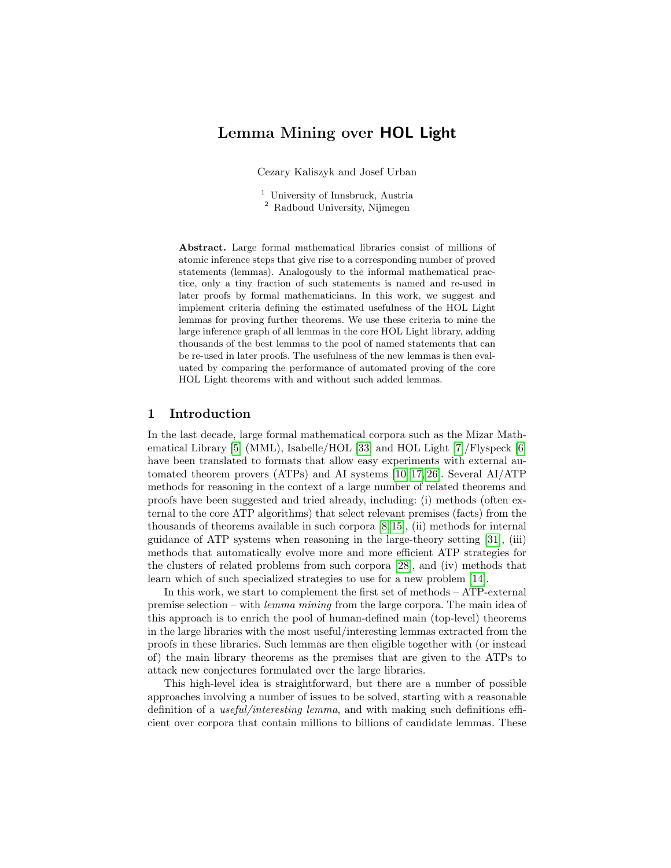# Lemma Mining over HOL Light

Cezary Kaliszyk and Josef Urban

<sup>1</sup> University of Innsbruck, Austria <sup>2</sup> Radboud University, Nijmegen

Abstract. Large formal mathematical libraries consist of millions of atomic inference steps that give rise to a corresponding number of proved statements (lemmas). Analogously to the informal mathematical practice, only a tiny fraction of such statements is named and re-used in later proofs by formal mathematicians. In this work, we suggest and implement criteria defining the estimated usefulness of the HOL Light lemmas for proving further theorems. We use these criteria to mine the large inference graph of all lemmas in the core HOL Light library, adding thousands of the best lemmas to the pool of named statements that can be re-used in later proofs. The usefulness of the new lemmas is then evaluated by comparing the performance of automated proving of the core HOL Light theorems with and without such added lemmas.

### 1 Introduction

In the last decade, large formal mathematical corpora such as the Mizar Mathematical Library [\[5\]](#page-13-0) (MML), Isabelle/HOL [\[33\]](#page-14-0) and HOL Light [\[7\]](#page-13-1)/Flyspeck [\[6\]](#page-13-2) have been translated to formats that allow easy experiments with external automated theorem provers (ATPs) and AI systems [\[10,](#page-13-3) [17,](#page-13-4) [26\]](#page-14-1). Several AI/ATP methods for reasoning in the context of a large number of related theorems and proofs have been suggested and tried already, including: (i) methods (often external to the core ATP algorithms) that select relevant premises (facts) from the thousands of theorems available in such corpora [\[8,](#page-13-5) [15\]](#page-13-6), (ii) methods for internal guidance of ATP systems when reasoning in the large-theory setting [\[31\]](#page-14-2), (iii) methods that automatically evolve more and more efficient ATP strategies for the clusters of related problems from such corpora [\[28\]](#page-14-3), and (iv) methods that learn which of such specialized strategies to use for a new problem [\[14\]](#page-13-7).

In this work, we start to complement the first set of methods – ATP-external premise selection – with lemma mining from the large corpora. The main idea of this approach is to enrich the pool of human-defined main (top-level) theorems in the large libraries with the most useful/interesting lemmas extracted from the proofs in these libraries. Such lemmas are then eligible together with (or instead of) the main library theorems as the premises that are given to the ATPs to attack new conjectures formulated over the large libraries.

This high-level idea is straightforward, but there are a number of possible approaches involving a number of issues to be solved, starting with a reasonable definition of a *useful/interesting lemma*, and with making such definitions efficient over corpora that contain millions to billions of candidate lemmas. These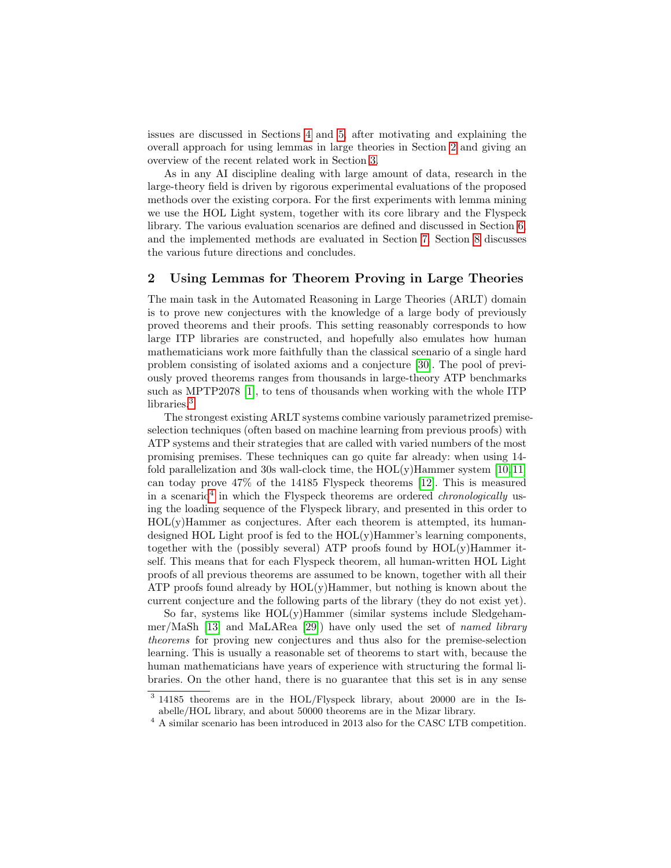issues are discussed in Sections [4](#page-4-0) and [5,](#page-6-0) after motivating and explaining the overall approach for using lemmas in large theories in Section [2](#page-1-0) and giving an overview of the recent related work in Section [3.](#page-3-0)

As in any AI discipline dealing with large amount of data, research in the large-theory field is driven by rigorous experimental evaluations of the proposed methods over the existing corpora. For the first experiments with lemma mining we use the HOL Light system, together with its core library and the Flyspeck library. The various evaluation scenarios are defined and discussed in Section [6,](#page-9-0) and the implemented methods are evaluated in Section [7.](#page-11-0) Section [8](#page-12-0) discusses the various future directions and concludes.

### <span id="page-1-0"></span>2 Using Lemmas for Theorem Proving in Large Theories

The main task in the Automated Reasoning in Large Theories (ARLT) domain is to prove new conjectures with the knowledge of a large body of previously proved theorems and their proofs. This setting reasonably corresponds to how large ITP libraries are constructed, and hopefully also emulates how human mathematicians work more faithfully than the classical scenario of a single hard problem consisting of isolated axioms and a conjecture [\[30\]](#page-14-4). The pool of previously proved theorems ranges from thousands in large-theory ATP benchmarks such as MPTP2078 [\[1\]](#page-13-8), to tens of thousands when working with the whole ITP libraries.<sup>[3](#page-1-1)</sup>

The strongest existing ARLT systems combine variously parametrized premiseselection techniques (often based on machine learning from previous proofs) with ATP systems and their strategies that are called with varied numbers of the most promising premises. These techniques can go quite far already: when using 14 fold parallelization and 30s wall-clock time, the  $HOL(y)$ Hammer system [\[10,](#page-13-3) [11\]](#page-13-9) can today prove 47% of the 14185 Flyspeck theorems [\[12\]](#page-13-10). This is measured in a scenario<sup>[4](#page-1-2)</sup> in which the Flyspeck theorems are ordered *chronologically* using the loading sequence of the Flyspeck library, and presented in this order to  $HOL(y)$ Hammer as conjectures. After each theorem is attempted, its humandesigned HOL Light proof is fed to the HOL(y)Hammer's learning components, together with the (possibly several) ATP proofs found by  $HOL(y)$ Hammer itself. This means that for each Flyspeck theorem, all human-written HOL Light proofs of all previous theorems are assumed to be known, together with all their ATP proofs found already by  $HOL(y)$ Hammer, but nothing is known about the current conjecture and the following parts of the library (they do not exist yet).

So far, systems like HOL(y)Hammer (similar systems include Sledgehammer/MaSh [\[13\]](#page-13-11) and MaLARea [\[29\]](#page-14-5)) have only used the set of named library theorems for proving new conjectures and thus also for the premise-selection learning. This is usually a reasonable set of theorems to start with, because the human mathematicians have years of experience with structuring the formal libraries. On the other hand, there is no guarantee that this set is in any sense

<span id="page-1-1"></span><sup>&</sup>lt;sup>3</sup> 14185 theorems are in the HOL/Flyspeck library, about 20000 are in the Isabelle/HOL library, and about 50000 theorems are in the Mizar library.

<span id="page-1-2"></span> $^4$  A similar scenario has been introduced in 2013 also for the CASC LTB competition.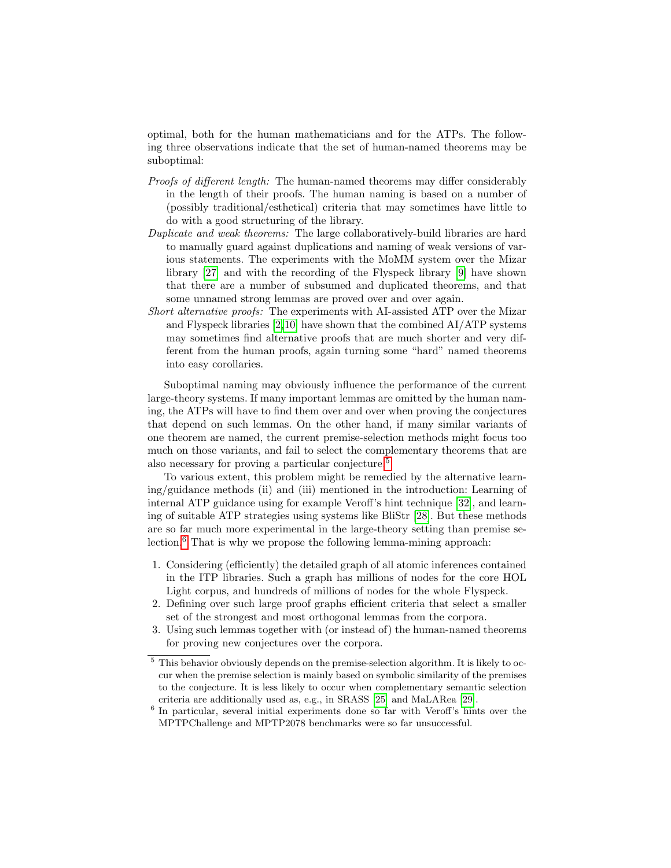optimal, both for the human mathematicians and for the ATPs. The following three observations indicate that the set of human-named theorems may be suboptimal:

- Proofs of different length: The human-named theorems may differ considerably in the length of their proofs. The human naming is based on a number of (possibly traditional/esthetical) criteria that may sometimes have little to do with a good structuring of the library.
- Duplicate and weak theorems: The large collaboratively-build libraries are hard to manually guard against duplications and naming of weak versions of various statements. The experiments with the MoMM system over the Mizar library [\[27\]](#page-14-6) and with the recording of the Flyspeck library [\[9\]](#page-13-12) have shown that there are a number of subsumed and duplicated theorems, and that some unnamed strong lemmas are proved over and over again.
- Short alternative proofs: The experiments with AI-assisted ATP over the Mizar and Flyspeck libraries [\[2,](#page-13-13)[10\]](#page-13-3) have shown that the combined AI/ATP systems may sometimes find alternative proofs that are much shorter and very different from the human proofs, again turning some "hard" named theorems into easy corollaries.

Suboptimal naming may obviously influence the performance of the current large-theory systems. If many important lemmas are omitted by the human naming, the ATPs will have to find them over and over when proving the conjectures that depend on such lemmas. On the other hand, if many similar variants of one theorem are named, the current premise-selection methods might focus too much on those variants, and fail to select the complementary theorems that are also necessary for proving a particular conjecture.[5](#page-2-0)

To various extent, this problem might be remedied by the alternative learning/guidance methods (ii) and (iii) mentioned in the introduction: Learning of internal ATP guidance using for example Veroff's hint technique [\[32\]](#page-14-7), and learning of suitable ATP strategies using systems like BliStr [\[28\]](#page-14-3). But these methods are so far much more experimental in the large-theory setting than premise selection.[6](#page-2-1) That is why we propose the following lemma-mining approach:

- 1. Considering (efficiently) the detailed graph of all atomic inferences contained in the ITP libraries. Such a graph has millions of nodes for the core HOL Light corpus, and hundreds of millions of nodes for the whole Flyspeck.
- 2. Defining over such large proof graphs efficient criteria that select a smaller set of the strongest and most orthogonal lemmas from the corpora.
- 3. Using such lemmas together with (or instead of) the human-named theorems for proving new conjectures over the corpora.

<span id="page-2-0"></span><sup>5</sup> This behavior obviously depends on the premise-selection algorithm. It is likely to occur when the premise selection is mainly based on symbolic similarity of the premises to the conjecture. It is less likely to occur when complementary semantic selection criteria are additionally used as, e.g., in SRASS [\[25\]](#page-14-8) and MaLARea [\[29\]](#page-14-5).

<span id="page-2-1"></span><sup>&</sup>lt;sup>6</sup> In particular, several initial experiments done so far with Veroff's hints over the MPTPChallenge and MPTP2078 benchmarks were so far unsuccessful.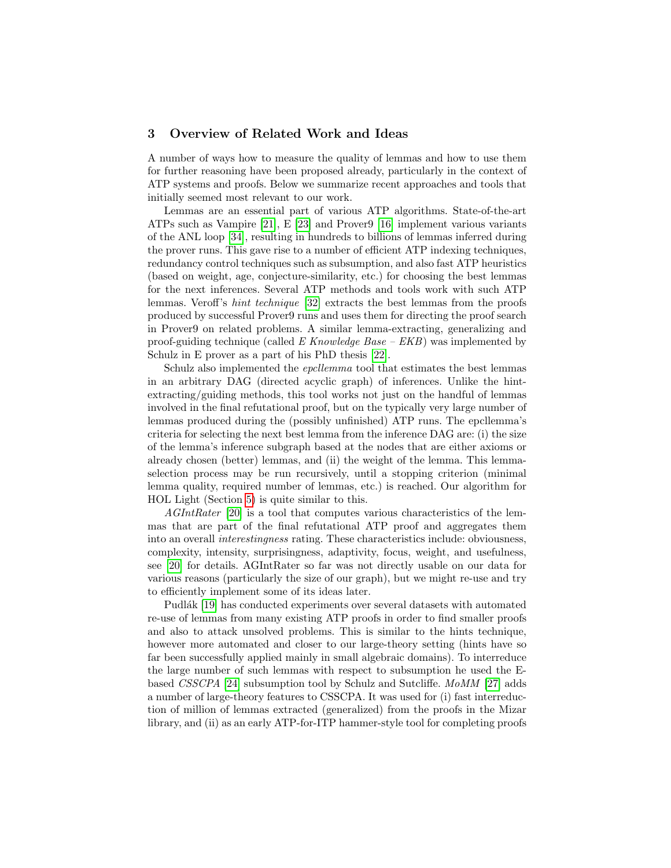# <span id="page-3-0"></span>3 Overview of Related Work and Ideas

A number of ways how to measure the quality of lemmas and how to use them for further reasoning have been proposed already, particularly in the context of ATP systems and proofs. Below we summarize recent approaches and tools that initially seemed most relevant to our work.

Lemmas are an essential part of various ATP algorithms. State-of-the-art ATPs such as Vampire [\[21\]](#page-14-9), E [\[23\]](#page-14-10) and Prover9 [\[16\]](#page-13-14) implement various variants of the ANL loop [\[34\]](#page-14-11), resulting in hundreds to billions of lemmas inferred during the prover runs. This gave rise to a number of efficient ATP indexing techniques, redundancy control techniques such as subsumption, and also fast ATP heuristics (based on weight, age, conjecture-similarity, etc.) for choosing the best lemmas for the next inferences. Several ATP methods and tools work with such ATP lemmas. Veroff's hint technique [\[32\]](#page-14-7) extracts the best lemmas from the proofs produced by successful Prover9 runs and uses them for directing the proof search in Prover9 on related problems. A similar lemma-extracting, generalizing and proof-guiding technique (called  $E$  Knowledge Base –  $EKB$ ) was implemented by Schulz in E prover as a part of his PhD thesis [\[22\]](#page-14-12).

Schulz also implemented the epcllemma tool that estimates the best lemmas in an arbitrary DAG (directed acyclic graph) of inferences. Unlike the hintextracting/guiding methods, this tool works not just on the handful of lemmas involved in the final refutational proof, but on the typically very large number of lemmas produced during the (possibly unfinished) ATP runs. The epcllemma's criteria for selecting the next best lemma from the inference DAG are: (i) the size of the lemma's inference subgraph based at the nodes that are either axioms or already chosen (better) lemmas, and (ii) the weight of the lemma. This lemmaselection process may be run recursively, until a stopping criterion (minimal lemma quality, required number of lemmas, etc.) is reached. Our algorithm for HOL Light (Section [5\)](#page-6-0) is quite similar to this.

AGIntRater [\[20\]](#page-14-13) is a tool that computes various characteristics of the lemmas that are part of the final refutational ATP proof and aggregates them into an overall interestingness rating. These characteristics include: obviousness, complexity, intensity, surprisingness, adaptivity, focus, weight, and usefulness, see [\[20\]](#page-14-13) for details. AGIntRater so far was not directly usable on our data for various reasons (particularly the size of our graph), but we might re-use and try to efficiently implement some of its ideas later.

Pudlák [\[19\]](#page-14-14) has conducted experiments over several datasets with automated re-use of lemmas from many existing ATP proofs in order to find smaller proofs and also to attack unsolved problems. This is similar to the hints technique, however more automated and closer to our large-theory setting (hints have so far been successfully applied mainly in small algebraic domains). To interreduce the large number of such lemmas with respect to subsumption he used the Ebased CSSCPA [\[24\]](#page-14-15) subsumption tool by Schulz and Sutcliffe. MoMM [\[27\]](#page-14-6) adds a number of large-theory features to CSSCPA. It was used for (i) fast interreduction of million of lemmas extracted (generalized) from the proofs in the Mizar library, and (ii) as an early ATP-for-ITP hammer-style tool for completing proofs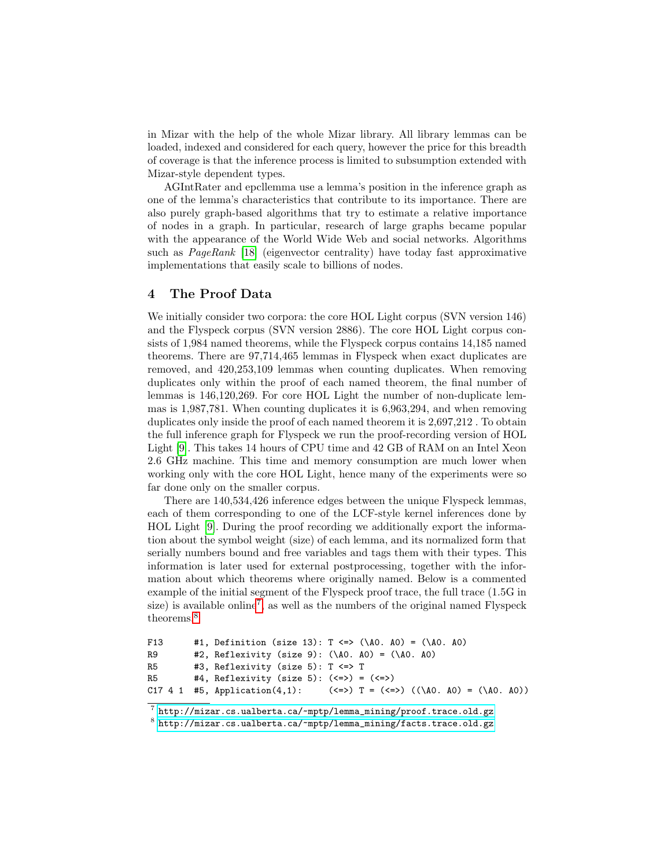in Mizar with the help of the whole Mizar library. All library lemmas can be loaded, indexed and considered for each query, however the price for this breadth of coverage is that the inference process is limited to subsumption extended with Mizar-style dependent types.

AGIntRater and epcllemma use a lemma's position in the inference graph as one of the lemma's characteristics that contribute to its importance. There are also purely graph-based algorithms that try to estimate a relative importance of nodes in a graph. In particular, research of large graphs became popular with the appearance of the World Wide Web and social networks. Algorithms such as PageRank [\[18\]](#page-14-16) (eigenvector centrality) have today fast approximative implementations that easily scale to billions of nodes.

## <span id="page-4-0"></span>4 The Proof Data

We initially consider two corpora: the core HOL Light corpus (SVN version 146) and the Flyspeck corpus (SVN version 2886). The core HOL Light corpus consists of 1,984 named theorems, while the Flyspeck corpus contains 14,185 named theorems. There are 97,714,465 lemmas in Flyspeck when exact duplicates are removed, and 420,253,109 lemmas when counting duplicates. When removing duplicates only within the proof of each named theorem, the final number of lemmas is 146,120,269. For core HOL Light the number of non-duplicate lemmas is 1,987,781. When counting duplicates it is 6,963,294, and when removing duplicates only inside the proof of each named theorem it is 2,697,212 . To obtain the full inference graph for Flyspeck we run the proof-recording version of HOL Light [\[9\]](#page-13-12). This takes 14 hours of CPU time and 42 GB of RAM on an Intel Xeon 2.6 GHz machine. This time and memory consumption are much lower when working only with the core HOL Light, hence many of the experiments were so far done only on the smaller corpus.

There are 140,534,426 inference edges between the unique Flyspeck lemmas, each of them corresponding to one of the LCF-style kernel inferences done by HOL Light [\[9\]](#page-13-12). During the proof recording we additionally export the information about the symbol weight (size) of each lemma, and its normalized form that serially numbers bound and free variables and tags them with their types. This information is later used for external postprocessing, together with the information about which theorems where originally named. Below is a commented example of the initial segment of the Flyspeck proof trace, the full trace (1.5G in size) is available online<sup>[7](#page-4-1)</sup>, as well as the numbers of the original named Flyspeck theorems.[8](#page-4-2)

```
F13 #1, Definition (size 13): T \le  (\A0. A0) = (\A0. A0)
R9 #2, Reflexivity (size 9): (\A0. A0) = (\A0. A0)R5 #3, Reflexivity (size 5): T <=> T
R5 #4, Reflexivity (size 5): (\langle = \rangle) = (\langle = \rangle)C17 4 1 #5, Application(4,1): (\langle = \rangle) T = (\langle = \rangle) ((\langle A0. A0) = (\langle A0. A0) )
```
<span id="page-4-1"></span> $\frac{7}{1}$  [http://mizar.cs.ualberta.ca/~mptp/lemma\\_mining/proof.trace.old.gz](http://mizar.cs.ualberta.ca/~mptp/lemma_mining/proof.trace.old.gz)

<span id="page-4-2"></span> $^8$  [http://mizar.cs.ualberta.ca/~mptp/lemma\\_mining/facts.trace.old.gz](http://mizar.cs.ualberta.ca/~mptp/lemma_mining/facts.trace.old.gz)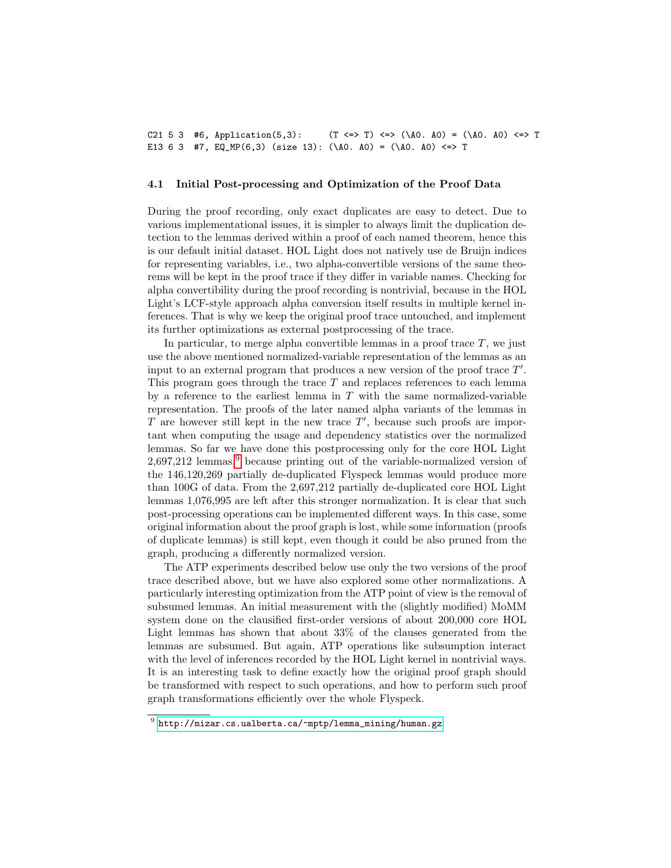C21 5 3 #6, Application(5,3): (T <=> T) <=>  $(\A0. A0) = (\A0. A0)$  <=> T E13 6 3 #7, EQ\_MP(6,3) (size 13): (\A0. A0) = (\A0. A0) <=> T

#### 4.1 Initial Post-processing and Optimization of the Proof Data

During the proof recording, only exact duplicates are easy to detect. Due to various implementational issues, it is simpler to always limit the duplication detection to the lemmas derived within a proof of each named theorem, hence this is our default initial dataset. HOL Light does not natively use de Bruijn indices for representing variables, i.e., two alpha-convertible versions of the same theorems will be kept in the proof trace if they differ in variable names. Checking for alpha convertibility during the proof recording is nontrivial, because in the HOL Light's LCF-style approach alpha conversion itself results in multiple kernel inferences. That is why we keep the original proof trace untouched, and implement its further optimizations as external postprocessing of the trace.

In particular, to merge alpha convertible lemmas in a proof trace  $T$ , we just use the above mentioned normalized-variable representation of the lemmas as an input to an external program that produces a new version of the proof trace  $T'$ . This program goes through the trace  $T$  and replaces references to each lemma by a reference to the earliest lemma in  $T$  with the same normalized-variable representation. The proofs of the later named alpha variants of the lemmas in  $T$  are however still kept in the new trace  $T'$ , because such proofs are important when computing the usage and dependency statistics over the normalized lemmas. So far we have done this postprocessing only for the core HOL Light  $2,697,212$  $2,697,212$  $2,697,212$  lemmas,<sup>9</sup> because printing out of the variable-normalized version of the 146,120,269 partially de-duplicated Flyspeck lemmas would produce more than 100G of data. From the 2,697,212 partially de-duplicated core HOL Light lemmas 1,076,995 are left after this stronger normalization. It is clear that such post-processing operations can be implemented different ways. In this case, some original information about the proof graph is lost, while some information (proofs of duplicate lemmas) is still kept, even though it could be also pruned from the graph, producing a differently normalized version.

The ATP experiments described below use only the two versions of the proof trace described above, but we have also explored some other normalizations. A particularly interesting optimization from the ATP point of view is the removal of subsumed lemmas. An initial measurement with the (slightly modified) MoMM system done on the clausified first-order versions of about 200,000 core HOL Light lemmas has shown that about 33% of the clauses generated from the lemmas are subsumed. But again, ATP operations like subsumption interact with the level of inferences recorded by the HOL Light kernel in nontrivial ways. It is an interesting task to define exactly how the original proof graph should be transformed with respect to such operations, and how to perform such proof graph transformations efficiently over the whole Flyspeck.

<span id="page-5-0"></span> $^9$  [http://mizar.cs.ualberta.ca/~mptp/lemma\\_mining/human.gz](http://mizar.cs.ualberta.ca/~mptp/lemma_mining/human.gz)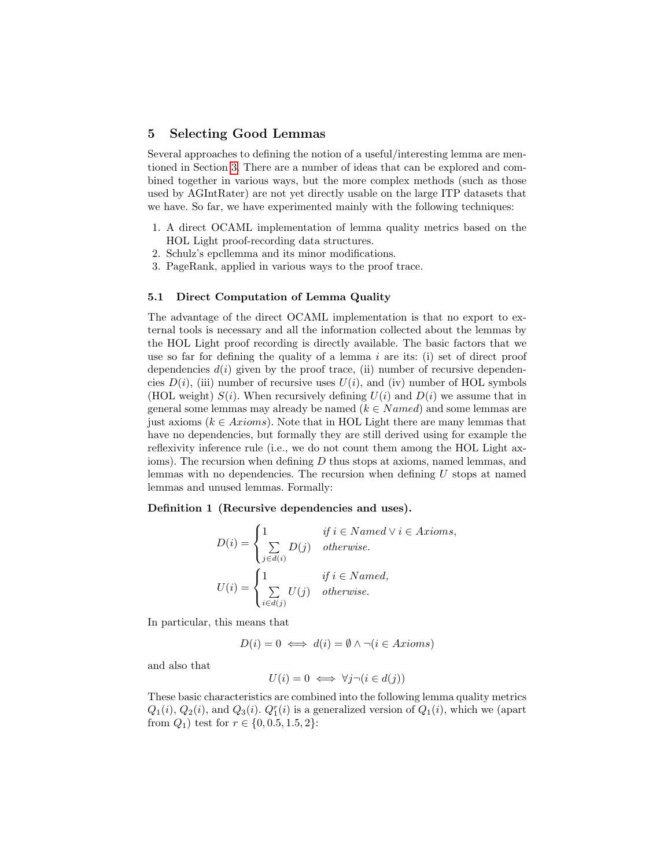## <span id="page-6-0"></span>5 Selecting Good Lemmas

Several approaches to defining the notion of a useful/interesting lemma are mentioned in Section [3.](#page-3-0) There are a number of ideas that can be explored and combined together in various ways, but the more complex methods (such as those used by AGIntRater) are not yet directly usable on the large ITP datasets that we have. So far, we have experimented mainly with the following techniques:

- 1. A direct OCAML implementation of lemma quality metrics based on the HOL Light proof-recording data structures.
- 2. Schulz's epcllemma and its minor modifications.
- 3. PageRank, applied in various ways to the proof trace.

### 5.1 Direct Computation of Lemma Quality

The advantage of the direct OCAML implementation is that no export to external tools is necessary and all the information collected about the lemmas by the HOL Light proof recording is directly available. The basic factors that we use so far for defining the quality of a lemma  $i$  are its: (i) set of direct proof dependencies  $d(i)$  given by the proof trace, (ii) number of recursive dependencies  $D(i)$ , (iii) number of recursive uses  $U(i)$ , and (iv) number of HOL symbols (HOL weight)  $S(i)$ . When recursively defining  $U(i)$  and  $D(i)$  we assume that in general some lemmas may already be named ( $k \in Name$ ) and some lemmas are just axioms ( $k \in Axioms$ ). Note that in HOL Light there are many lemmas that have no dependencies, but formally they are still derived using for example the reflexivity inference rule (i.e., we do not count them among the HOL Light axioms). The recursion when defining  $D$  thus stops at axioms, named lemmas, and lemmas with no dependencies. The recursion when defining  $U$  stops at named lemmas and unused lemmas. Formally:

### Definition 1 (Recursive dependencies and uses).

$$
D(i) = \begin{cases} 1 & \text{if } i \in Named \lor i \in Axioms, \\ \sum_{j \in d(i)} D(j) & otherwise. \end{cases}
$$

$$
U(i) = \begin{cases} 1 & \text{if } i \in Named, \\ \sum_{i \in d(j)} U(j) & otherwise. \end{cases}
$$

In particular, this means that

$$
D(i) = 0 \iff d(i) = \emptyset \land \neg (i \in Axioms)
$$

and also that

$$
U(i) = 0 \iff \forall j \neg (i \in d(j))
$$

These basic characteristics are combined into the following lemma quality metrics  $Q_1(i)$ ,  $Q_2(i)$ , and  $Q_3(i)$ .  $Q_1^r(i)$  is a generalized version of  $Q_1(i)$ , which we (apart from  $Q_1$ ) test for  $r \in \{0, 0.5, 1.5, 2\}$ :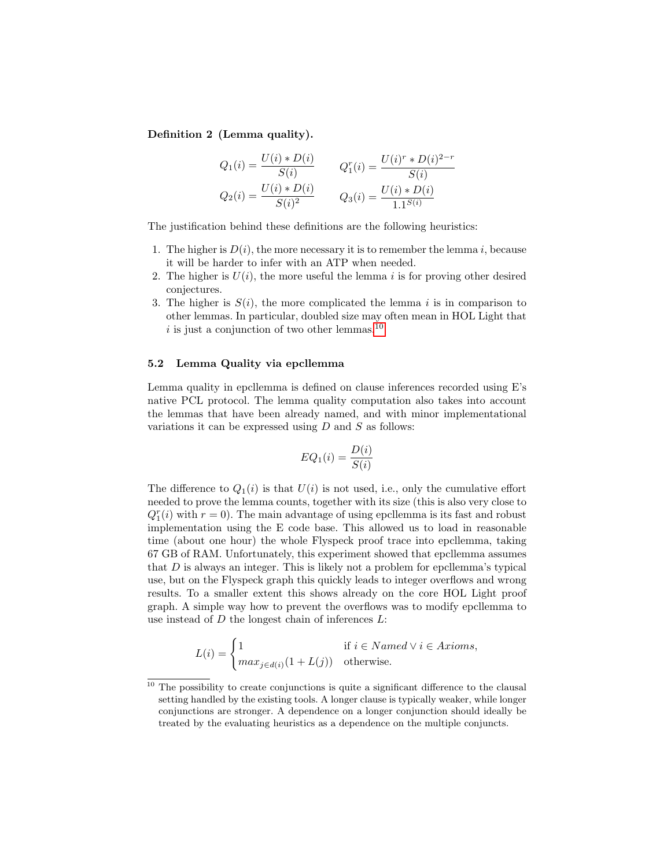Definition 2 (Lemma quality).

$$
Q_1(i) = \frac{U(i) * D(i)}{S(i)} \qquad Q_1^r(i) = \frac{U(i)^r * D(i)^{2-r}}{S(i)}
$$
  

$$
Q_2(i) = \frac{U(i) * D(i)}{S(i)^2} \qquad Q_3(i) = \frac{U(i) * D(i)}{1.1^{S(i)}}
$$

The justification behind these definitions are the following heuristics:

- 1. The higher is  $D(i)$ , the more necessary it is to remember the lemma i, because it will be harder to infer with an ATP when needed.
- 2. The higher is  $U(i)$ , the more useful the lemma i is for proving other desired conjectures.
- 3. The higher is  $S(i)$ , the more complicated the lemma i is in comparison to other lemmas. In particular, doubled size may often mean in HOL Light that  $i$  is just a conjunction of two other lemmas.<sup>[10](#page-7-0)</sup>

#### 5.2 Lemma Quality via epcllemma

Lemma quality in epcllemma is defined on clause inferences recorded using E's native PCL protocol. The lemma quality computation also takes into account the lemmas that have been already named, and with minor implementational variations it can be expressed using  $D$  and  $S$  as follows:

$$
EQ_1(i) = \frac{D(i)}{S(i)}
$$

The difference to  $Q_1(i)$  is that  $U(i)$  is not used, i.e., only the cumulative effort needed to prove the lemma counts, together with its size (this is also very close to  $Q_1^r(i)$  with  $r = 0$ ). The main advantage of using epcllemma is its fast and robust implementation using the E code base. This allowed us to load in reasonable time (about one hour) the whole Flyspeck proof trace into epcllemma, taking 67 GB of RAM. Unfortunately, this experiment showed that epcllemma assumes that  $D$  is always an integer. This is likely not a problem for epcllemma's typical use, but on the Flyspeck graph this quickly leads to integer overflows and wrong results. To a smaller extent this shows already on the core HOL Light proof graph. A simple way how to prevent the overflows was to modify epcllemma to use instead of  $D$  the longest chain of inferences  $L$ :

$$
L(i) = \begin{cases} 1 & \text{if } i \in Named \lor i \in Axi, \\ max_{j \in d(i)}(1 + L(j)) & \text{otherwise.} \end{cases}
$$

<span id="page-7-0"></span> $10$  The possibility to create conjunctions is quite a significant difference to the clausal setting handled by the existing tools. A longer clause is typically weaker, while longer conjunctions are stronger. A dependence on a longer conjunction should ideally be treated by the evaluating heuristics as a dependence on the multiple conjuncts.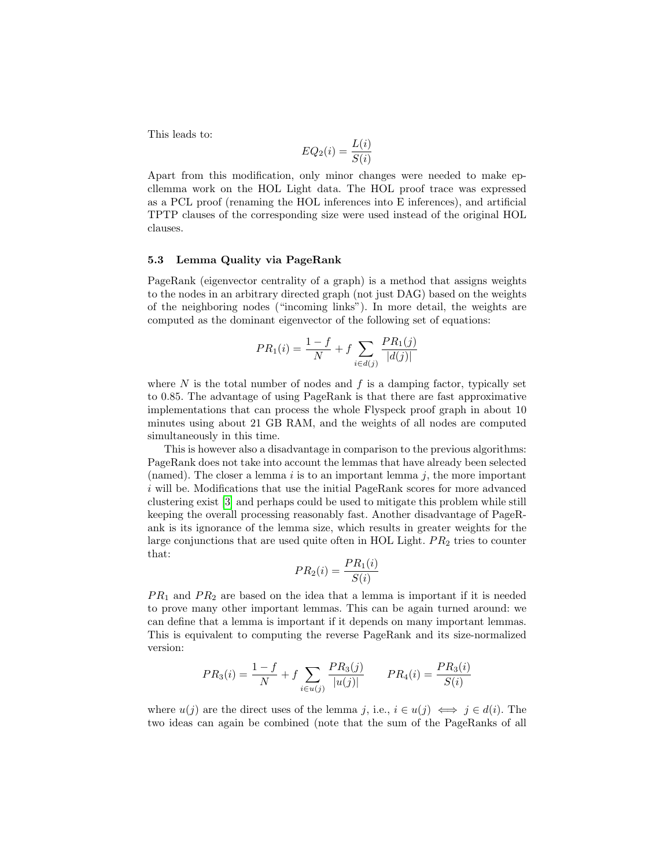This leads to:

$$
EQ_2(i) = \frac{L(i)}{S(i)}
$$

Apart from this modification, only minor changes were needed to make epcllemma work on the HOL Light data. The HOL proof trace was expressed as a PCL proof (renaming the HOL inferences into E inferences), and artificial TPTP clauses of the corresponding size were used instead of the original HOL clauses.

### 5.3 Lemma Quality via PageRank

PageRank (eigenvector centrality of a graph) is a method that assigns weights to the nodes in an arbitrary directed graph (not just DAG) based on the weights of the neighboring nodes ("incoming links"). In more detail, the weights are computed as the dominant eigenvector of the following set of equations:

$$
PR_1(i) = \frac{1 - f}{N} + f \sum_{i \in d(j)} \frac{PR_1(j)}{|d(j)|}
$$

where  $N$  is the total number of nodes and  $f$  is a damping factor, typically set to 0.85. The advantage of using PageRank is that there are fast approximative implementations that can process the whole Flyspeck proof graph in about 10 minutes using about 21 GB RAM, and the weights of all nodes are computed simultaneously in this time.

This is however also a disadvantage in comparison to the previous algorithms: PageRank does not take into account the lemmas that have already been selected (named). The closer a lemma  $i$  is to an important lemma  $j$ , the more important i will be. Modifications that use the initial PageRank scores for more advanced clustering exist [\[3\]](#page-13-15) and perhaps could be used to mitigate this problem while still keeping the overall processing reasonably fast. Another disadvantage of PageRank is its ignorance of the lemma size, which results in greater weights for the large conjunctions that are used quite often in HOL Light.  $PR<sub>2</sub>$  tries to counter that:

$$
PR_2(i) = \frac{PR_1(i)}{S(i)}
$$

 $PR<sub>1</sub>$  and  $PR<sub>2</sub>$  are based on the idea that a lemma is important if it is needed to prove many other important lemmas. This can be again turned around: we can define that a lemma is important if it depends on many important lemmas. This is equivalent to computing the reverse PageRank and its size-normalized version:

$$
PR_3(i) = \frac{1 - f}{N} + f \sum_{i \in u(j)} \frac{PR_3(j)}{|u(j)|} \qquad PR_4(i) = \frac{PR_3(i)}{S(i)}
$$

where  $u(j)$  are the direct uses of the lemma j, i.e.,  $i \in u(j) \iff j \in d(i)$ . The two ideas can again be combined (note that the sum of the PageRanks of all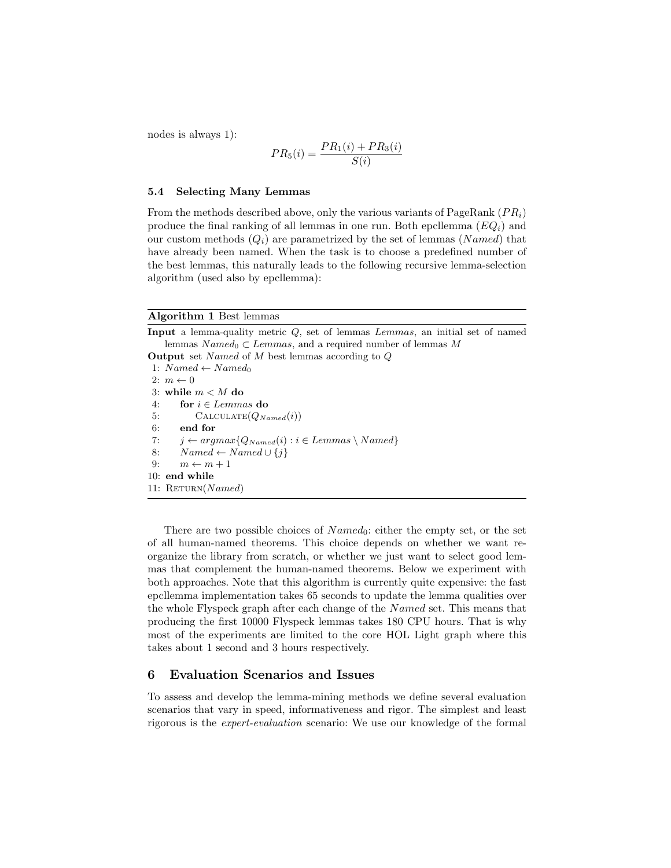nodes is always 1):

$$
PR_5(i) = \frac{PR_1(i) + PR_3(i)}{S(i)}
$$

#### 5.4 Selecting Many Lemmas

From the methods described above, only the various variants of PageRank  $(P_{i})$ produce the final ranking of all lemmas in one run. Both epcllemma  $(EQ_i)$  and our custom methods  $(Q_i)$  are parametrized by the set of lemmas (Named) that have already been named. When the task is to choose a predefined number of the best lemmas, this naturally leads to the following recursive lemma-selection algorithm (used also by epcllemma):

### Algorithm 1 Best lemmas

Input a lemma-quality metric Q, set of lemmas Lemmas, an initial set of named lemmas  $Named_0 \subset Lemmas$ , and a required number of lemmas M

Output set Named of M best lemmas according to Q 1:  $Named \leftarrow Named_0$ 2:  $m \leftarrow 0$ 3: while  $m < M$  do 4: for  $i \in Lemmas$  do 5: CALCULATE $(Q_{Named}(i))$ 6: end for 7:  $j \leftarrow argmax\{Q_{Named}(i) : i \in Lemmas \setminus Name\}$ 8:  $Named \leftarrow Named \cup \{j\}$ 9:  $m \leftarrow m + 1$ 10: end while 11: RETURN(Named)

There are two possible choices of  $Named_0$ : either the empty set, or the set of all human-named theorems. This choice depends on whether we want reorganize the library from scratch, or whether we just want to select good lemmas that complement the human-named theorems. Below we experiment with both approaches. Note that this algorithm is currently quite expensive: the fast epcllemma implementation takes 65 seconds to update the lemma qualities over the whole Flyspeck graph after each change of the  $Name$  set. This means that producing the first 10000 Flyspeck lemmas takes 180 CPU hours. That is why most of the experiments are limited to the core HOL Light graph where this takes about 1 second and 3 hours respectively.

# <span id="page-9-0"></span>6 Evaluation Scenarios and Issues

To assess and develop the lemma-mining methods we define several evaluation scenarios that vary in speed, informativeness and rigor. The simplest and least rigorous is the expert-evaluation scenario: We use our knowledge of the formal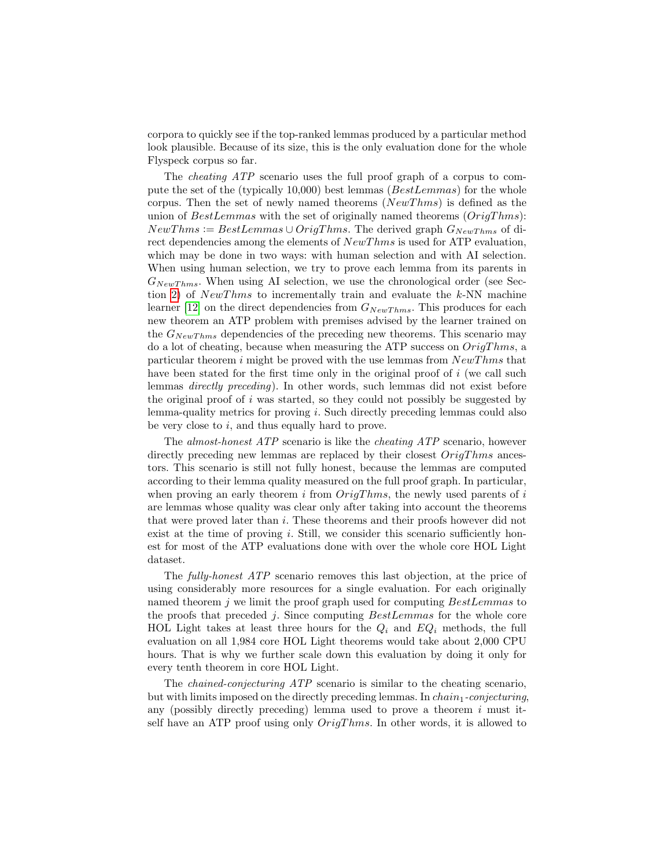corpora to quickly see if the top-ranked lemmas produced by a particular method look plausible. Because of its size, this is the only evaluation done for the whole Flyspeck corpus so far.

The cheating ATP scenario uses the full proof graph of a corpus to compute the set of the (typically 10,000) best lemmas (BestLemmas) for the whole corpus. Then the set of newly named theorems  $(NewThms)$  is defined as the union of  $BestLemmas$  with the set of originally named theorems  $(OrigThms):$  $NewThms := Best Lemmas \cup OriginS$ . The derived graph  $G_{NewThms}$  of direct dependencies among the elements of  $NewThms$  is used for ATP evaluation, which may be done in two ways: with human selection and with AI selection. When using human selection, we try to prove each lemma from its parents in  $G_{NewThms}$ . When using AI selection, we use the chronological order (see Sec-tion [2\)](#page-1-0) of  $NewThms$  to incrementally train and evaluate the  $k$ -NN machine learner [\[12\]](#page-13-10) on the direct dependencies from  $G_{NewThms}$ . This produces for each new theorem an ATP problem with premises advised by the learner trained on the  $G_{NewThms}$  dependencies of the preceding new theorems. This scenario may do a lot of cheating, because when measuring the ATP success on  $OriqThms$ , a particular theorem i might be proved with the use lemmas from  $NewThms$  that have been stated for the first time only in the original proof of  $i$  (we call such lemmas directly preceding). In other words, such lemmas did not exist before the original proof of  $i$  was started, so they could not possibly be suggested by lemma-quality metrics for proving i. Such directly preceding lemmas could also be very close to  $i$ , and thus equally hard to prove.

The almost-honest ATP scenario is like the cheating ATP scenario, however directly preceding new lemmas are replaced by their closest  $OrigThms$  ancestors. This scenario is still not fully honest, because the lemmas are computed according to their lemma quality measured on the full proof graph. In particular, when proving an early theorem i from  $OrigThms$ , the newly used parents of i are lemmas whose quality was clear only after taking into account the theorems that were proved later than i. These theorems and their proofs however did not exist at the time of proving i. Still, we consider this scenario sufficiently honest for most of the ATP evaluations done with over the whole core HOL Light dataset.

The fully-honest ATP scenario removes this last objection, at the price of using considerably more resources for a single evaluation. For each originally named theorem  $j$  we limit the proof graph used for computing  $BestLemmas$  to the proofs that preceded j. Since computing BestLemmas for the whole core HOL Light takes at least three hours for the  $Q_i$  and  $EQ_i$  methods, the full evaluation on all 1,984 core HOL Light theorems would take about 2,000 CPU hours. That is why we further scale down this evaluation by doing it only for every tenth theorem in core HOL Light.

The chained-conjecturing ATP scenario is similar to the cheating scenario, but with limits imposed on the directly preceding lemmas. In  $chain_1\text{-}conjecturing$ , any (possibly directly preceding) lemma used to prove a theorem  $i$  must itself have an ATP proof using only  $OriqThms$ . In other words, it is allowed to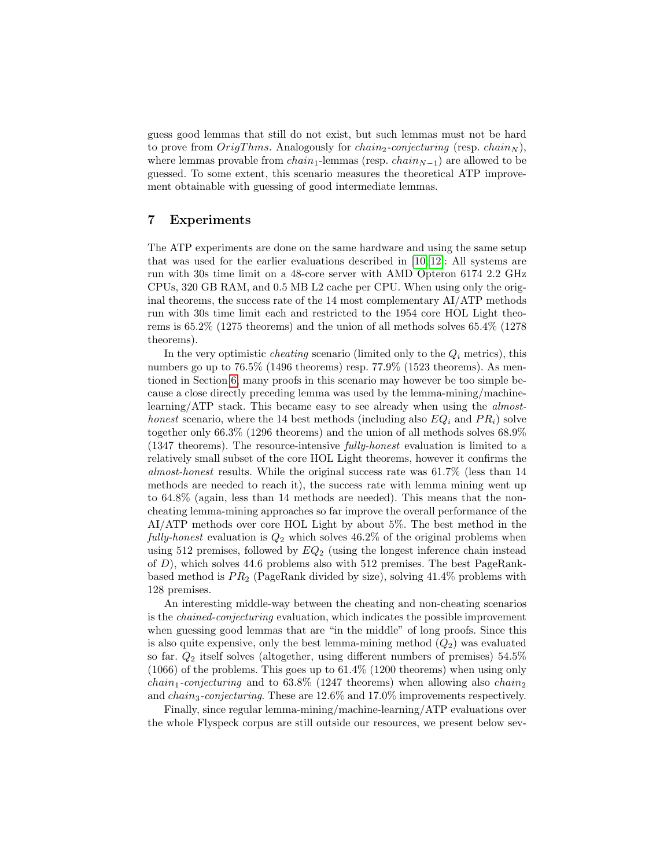guess good lemmas that still do not exist, but such lemmas must not be hard to prove from  $OrigThms$ . Analogously for *chain<sub>2</sub>-conjecturing* (resp. *chain<sub>N</sub>*), where lemmas provable from  $chain_1$ -lemmas (resp.  $chain_{N-1}$ ) are allowed to be guessed. To some extent, this scenario measures the theoretical ATP improvement obtainable with guessing of good intermediate lemmas.

# <span id="page-11-0"></span>7 Experiments

The ATP experiments are done on the same hardware and using the same setup that was used for the earlier evaluations described in [\[10,](#page-13-3) [12\]](#page-13-10): All systems are run with 30s time limit on a 48-core server with AMD Opteron 6174 2.2 GHz CPUs, 320 GB RAM, and 0.5 MB L2 cache per CPU. When using only the original theorems, the success rate of the 14 most complementary AI/ATP methods run with 30s time limit each and restricted to the 1954 core HOL Light theorems is 65.2% (1275 theorems) and the union of all methods solves 65.4% (1278 theorems).

In the very optimistic *cheating* scenario (limited only to the  $Q_i$  metrics), this numbers go up to  $76.5\%$  (1496 theorems) resp. 77.9% (1523 theorems). As mentioned in Section [6,](#page-9-0) many proofs in this scenario may however be too simple because a close directly preceding lemma was used by the lemma-mining/machinelearning/ATP stack. This became easy to see already when using the almost*honest* scenario, where the 14 best methods (including also  $EQ<sub>i</sub>$  and  $PR<sub>i</sub>$ ) solve together only 66.3% (1296 theorems) and the union of all methods solves 68.9% (1347 theorems). The resource-intensive fully-honest evaluation is limited to a relatively small subset of the core HOL Light theorems, however it confirms the almost-honest results. While the original success rate was 61.7% (less than 14 methods are needed to reach it), the success rate with lemma mining went up to 64.8% (again, less than 14 methods are needed). This means that the noncheating lemma-mining approaches so far improve the overall performance of the AI/ATP methods over core HOL Light by about 5%. The best method in the fully-honest evaluation is  $Q_2$  which solves 46.2% of the original problems when using 512 premises, followed by  $EQ_2$  (using the longest inference chain instead of D), which solves 44.6 problems also with 512 premises. The best PageRankbased method is  $PR_2$  (PageRank divided by size), solving 41.4% problems with 128 premises.

An interesting middle-way between the cheating and non-cheating scenarios is the chained-conjecturing evaluation, which indicates the possible improvement when guessing good lemmas that are "in the middle" of long proofs. Since this is also quite expensive, only the best lemma-mining method  $(Q_2)$  was evaluated so far.  $Q_2$  itself solves (altogether, using different numbers of premises)  $54.5\%$ (1066) of the problems. This goes up to 61.4% (1200 theorems) when using only *chain*<sub>1</sub>-conjecturing and to 63.8% (1247 theorems) when allowing also *chain*<sub>2</sub> and *chain<sub>3</sub>-conjecturing*. These are 12.6% and 17.0% improvements respectively.

Finally, since regular lemma-mining/machine-learning/ATP evaluations over the whole Flyspeck corpus are still outside our resources, we present below sev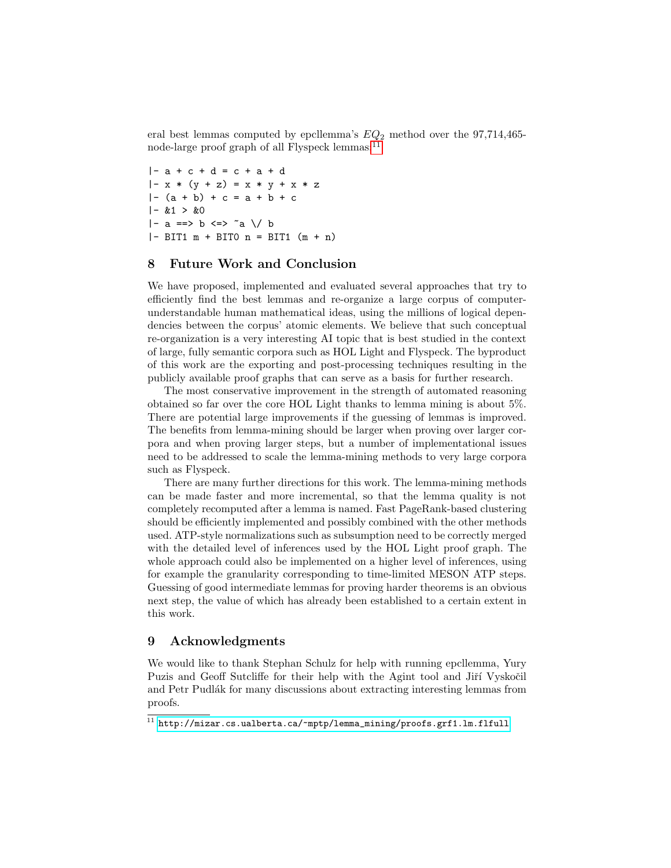eral best lemmas computed by epcllemma's  $EQ_2$  method over the 97,714,465-node-large proof graph of all Flyspeck lemmas:<sup>[11](#page-12-1)</sup>

 $|-a + c + d = c + a + d$  $|- x * (y + z) = x * y + x * z$  $|-(a + b) + c = a + b + c$  $|- 21 > 20$  $|-a ==b > b <=> a \ \ y b$  $|-$  BIT1 m + BIT0 n = BIT1  $(m + n)$ 

### <span id="page-12-0"></span>8 Future Work and Conclusion

We have proposed, implemented and evaluated several approaches that try to efficiently find the best lemmas and re-organize a large corpus of computerunderstandable human mathematical ideas, using the millions of logical dependencies between the corpus' atomic elements. We believe that such conceptual re-organization is a very interesting AI topic that is best studied in the context of large, fully semantic corpora such as HOL Light and Flyspeck. The byproduct of this work are the exporting and post-processing techniques resulting in the publicly available proof graphs that can serve as a basis for further research.

The most conservative improvement in the strength of automated reasoning obtained so far over the core HOL Light thanks to lemma mining is about 5%. There are potential large improvements if the guessing of lemmas is improved. The benefits from lemma-mining should be larger when proving over larger corpora and when proving larger steps, but a number of implementational issues need to be addressed to scale the lemma-mining methods to very large corpora such as Flyspeck.

There are many further directions for this work. The lemma-mining methods can be made faster and more incremental, so that the lemma quality is not completely recomputed after a lemma is named. Fast PageRank-based clustering should be efficiently implemented and possibly combined with the other methods used. ATP-style normalizations such as subsumption need to be correctly merged with the detailed level of inferences used by the HOL Light proof graph. The whole approach could also be implemented on a higher level of inferences, using for example the granularity corresponding to time-limited MESON ATP steps. Guessing of good intermediate lemmas for proving harder theorems is an obvious next step, the value of which has already been established to a certain extent in this work.

## 9 Acknowledgments

We would like to thank Stephan Schulz for help with running epcllemma, Yury Puzis and Geoff Sutcliffe for their help with the Agint tool and Jiří Vyskočil and Petr Pudlák for many discussions about extracting interesting lemmas from proofs.

<span id="page-12-1"></span> $\frac{11}{11}$  [http://mizar.cs.ualberta.ca/~mptp/lemma\\_mining/proofs.grf1.lm.flfull](http://mizar.cs.ualberta.ca/~mptp/lemma_mining/proofs.grf1.lm.flfull)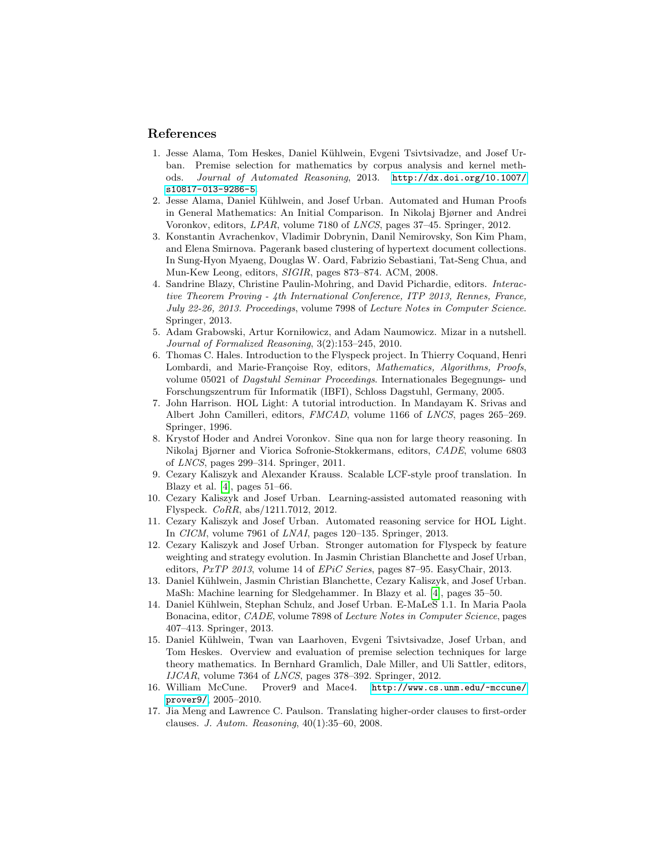### References

- <span id="page-13-8"></span>1. Jesse Alama, Tom Heskes, Daniel K¨uhlwein, Evgeni Tsivtsivadze, and Josef Urban. Premise selection for mathematics by corpus analysis and kernel methods. Journal of Automated Reasoning, 2013. [http://dx.doi.org/10.1007/](http://dx.doi.org/10.1007/s10817-013-9286-5) [s10817-013-9286-5](http://dx.doi.org/10.1007/s10817-013-9286-5).
- <span id="page-13-13"></span>2. Jesse Alama, Daniel Kühlwein, and Josef Urban. Automated and Human Proofs in General Mathematics: An Initial Comparison. In Nikolaj Bjørner and Andrei Voronkov, editors, LPAR, volume 7180 of LNCS, pages 37–45. Springer, 2012.
- <span id="page-13-15"></span>3. Konstantin Avrachenkov, Vladimir Dobrynin, Danil Nemirovsky, Son Kim Pham, and Elena Smirnova. Pagerank based clustering of hypertext document collections. In Sung-Hyon Myaeng, Douglas W. Oard, Fabrizio Sebastiani, Tat-Seng Chua, and Mun-Kew Leong, editors, SIGIR, pages 873–874. ACM, 2008.
- <span id="page-13-16"></span>4. Sandrine Blazy, Christine Paulin-Mohring, and David Pichardie, editors. Interactive Theorem Proving - 4th International Conference, ITP 2013, Rennes, France, July 22-26, 2013. Proceedings, volume 7998 of Lecture Notes in Computer Science. Springer, 2013.
- <span id="page-13-0"></span>5. Adam Grabowski, Artur Korniłowicz, and Adam Naumowicz. Mizar in a nutshell. Journal of Formalized Reasoning, 3(2):153–245, 2010.
- <span id="page-13-2"></span>6. Thomas C. Hales. Introduction to the Flyspeck project. In Thierry Coquand, Henri Lombardi, and Marie-Françoise Roy, editors, Mathematics, Algorithms, Proofs, volume 05021 of Dagstuhl Seminar Proceedings. Internationales Begegnungs- und Forschungszentrum für Informatik (IBFI), Schloss Dagstuhl, Germany, 2005.
- <span id="page-13-1"></span>7. John Harrison. HOL Light: A tutorial introduction. In Mandayam K. Srivas and Albert John Camilleri, editors, FMCAD, volume 1166 of LNCS, pages 265–269. Springer, 1996.
- <span id="page-13-5"></span>8. Krystof Hoder and Andrei Voronkov. Sine qua non for large theory reasoning. In Nikolaj Bjørner and Viorica Sofronie-Stokkermans, editors, CADE, volume 6803 of LNCS, pages 299–314. Springer, 2011.
- <span id="page-13-12"></span>9. Cezary Kaliszyk and Alexander Krauss. Scalable LCF-style proof translation. In Blazy et al.  $[4]$ , pages  $51-66$ .
- <span id="page-13-3"></span>10. Cezary Kaliszyk and Josef Urban. Learning-assisted automated reasoning with Flyspeck. CoRR, abs/1211.7012, 2012.
- <span id="page-13-9"></span>11. Cezary Kaliszyk and Josef Urban. Automated reasoning service for HOL Light. In CICM, volume 7961 of LNAI, pages 120–135. Springer, 2013.
- <span id="page-13-10"></span>12. Cezary Kaliszyk and Josef Urban. Stronger automation for Flyspeck by feature weighting and strategy evolution. In Jasmin Christian Blanchette and Josef Urban, editors, PxTP 2013, volume 14 of EPiC Series, pages 87–95. EasyChair, 2013.
- <span id="page-13-11"></span>13. Daniel Kühlwein, Jasmin Christian Blanchette, Cezary Kaliszyk, and Josef Urban. MaSh: Machine learning for Sledgehammer. In Blazy et al. [\[4\]](#page-13-16), pages 35–50.
- <span id="page-13-7"></span>14. Daniel Kühlwein, Stephan Schulz, and Josef Urban. E-MaLeS 1.1. In Maria Paola Bonacina, editor, CADE, volume 7898 of Lecture Notes in Computer Science, pages 407–413. Springer, 2013.
- <span id="page-13-6"></span>15. Daniel Kühlwein, Twan van Laarhoven, Evgeni Tsivtsivadze, Josef Urban, and Tom Heskes. Overview and evaluation of premise selection techniques for large theory mathematics. In Bernhard Gramlich, Dale Miller, and Uli Sattler, editors, IJCAR, volume 7364 of LNCS, pages 378–392. Springer, 2012.
- <span id="page-13-14"></span>16. William McCune. Prover9 and Mace4. [http://www.cs.unm.edu/~mccune/](http://www.cs.unm.edu/~mccune/prover9/) [prover9/](http://www.cs.unm.edu/~mccune/prover9/), 2005–2010.
- <span id="page-13-4"></span>17. Jia Meng and Lawrence C. Paulson. Translating higher-order clauses to first-order clauses. J. Autom. Reasoning, 40(1):35–60, 2008.